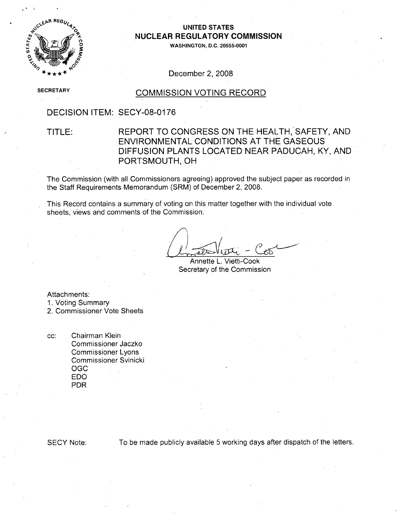

### **UNITED STATES NUCLEAR** REGULATORY **COMMISSION**

**0WASHINGTON, D.C. 20555-0001**

December 2, 2008

**SECRETARY** 

### COMMISSION VOTING RECORD

### DECISION ITEM: SECY-08-0176

## TITLE: REPORT TO CONGRESS ON THE HEALTH, SAFETY, AND ENVIRONMENTAL CONDITIONS AT THE GASEOUS DIFFUSION PLANTS LOCATED NEAR PADUCAH, KY, AND PORTSMOUTH, OH

The Commission (with all Commissioners agreeing) approved the subject paper as recorded in the Staff Requirements Memorandum (SRM) of December 2, 2008.

This Record contains a summary of voting on this matter together with the individual vote sheets, views and comments of the Commission.

Annette L. Vietti-Cook Secretary of the Commission

Attachments:

- **1.** Voting Summary
- 2. Commissioner Vote Sheets

cc: Chairman Klein Commissioner Jaczko Commissioner Lyons Commissioner Svinicki OGC EDO PDR

**SECY** Note: To be made publicly available 5 working days after dispatch of the letters.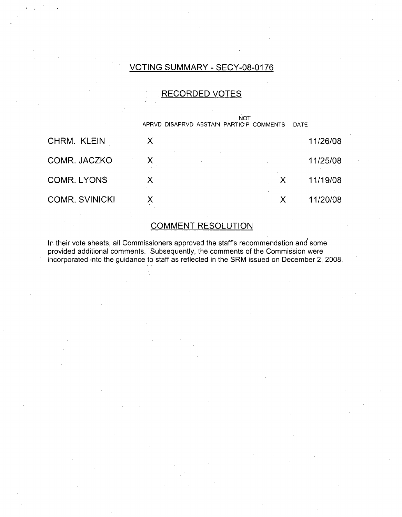## VOTING SUMMARY - SECY-08-0176

## RECORDED VOTES

| APRVD | <b>NOT</b> |   | DATE                               |
|-------|------------|---|------------------------------------|
| X     |            |   | 11/26/08                           |
| X.    |            |   | 11/25/08                           |
| Χ     |            |   | 11/19/08                           |
|       |            | X | 11/20/08                           |
|       |            |   | DISAPRVD ABSTAIN PARTICIP COMMENTS |

# COMMENT RESOLUTION

In their vote sheets, all Commissioners approved the staffs recommendation and some provided additional comments. Subsequently, the comments of the Commission were incorporated into the guidance to staff as reflected in the SRM issued on December 2, 2008.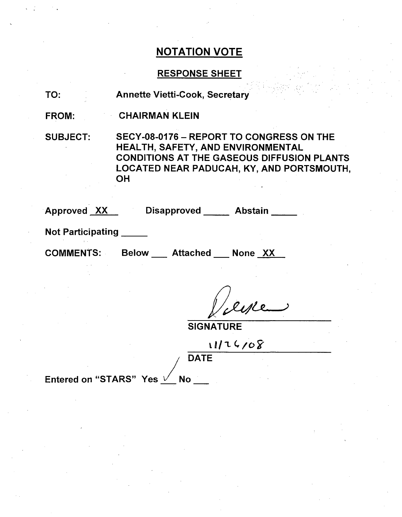### RESPONSE SHEET

TO: Annette Vietti-Cook, Secretary

FROM: CHAIRMAN KLEIN

SUBJECT: SECY-08-0176 - REPORT TO CONGRESS ON THE HEALTH, SAFETY, AND ENVIRONMENTAL CONDITIONS AT THE GASEOUS DIFFUSION PLANTS LOCATED NEAR PADUCAH, KY, AND PORTSMOUTH, **OH** 

Approved XX Disapproved Abstain

Not Participating **\_**

COMMENTS: Below Attached None XX

Ille

**SIGNATURE** 

11/26/08 **DATE** 

Entered on "STARS" Yes  $\sqrt{ }$  No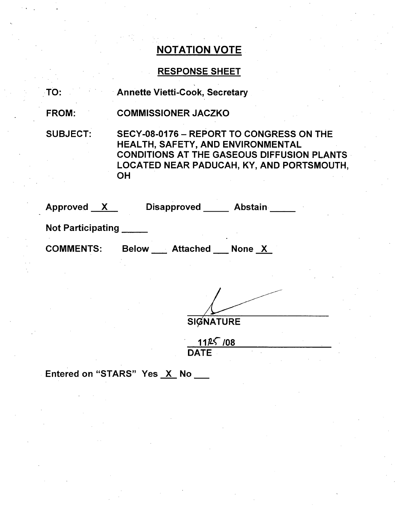# RESPONSE SHEET

TO: Annette Vietti-Cook, Secretary

FROM: COMMISSIONER JACZKO

SUBJECT:

SECY-08-0176 - REPORT TO CONGRESS ON THE HEALTH, SAFETY, AND ENVIRONMENTAL CONDITIONS AT THE GASEOUS DIFFUSION PLANTS LOCATED NEAR PADUCAH, KY, AND PORTSMOUTH, OH

| Approved          |              | <b>Disapproved</b> | <b>Abstain</b> |  |
|-------------------|--------------|--------------------|----------------|--|
| Not Participating |              |                    |                |  |
| <b>COMMENTS:</b>  | <b>Below</b> | <b>Attached</b>    | None X         |  |

**SIGNATURE** 

**1125** /08 **DATE** 

Entered on "STARS" Yes X No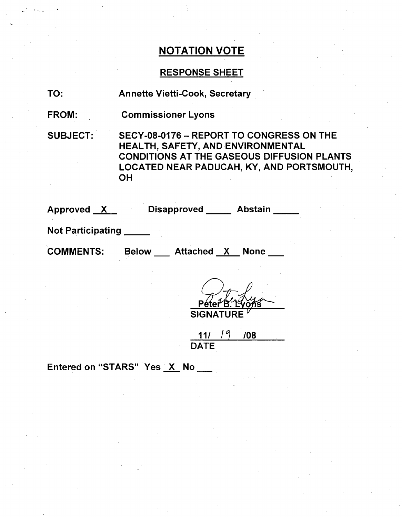## RESPONSE SHEET

| TO: |  |
|-----|--|
|     |  |

Annette Vietti-Cook, Secretary

FROM: Commissioner Lyons

SUBJECT: SECY-08-0176 - REPORT TO CONGRESS ON THE HEALTH, SAFETY, AND ENVIRONMENTAL CONDITIONS AT THE GASEOUS DIFFUSION PLANTS LOCATED NEAR PADUCAH, KY, AND PORTSMOUTH, OH

Approved <u>X</u> Disapproved Abstair

Not Participating

COMMENTS: Below Attached X None

**SIGNATURE** 

11/ **M** DATE /08

Entered on "STARS" Yes  $X$  No  $\blacksquare$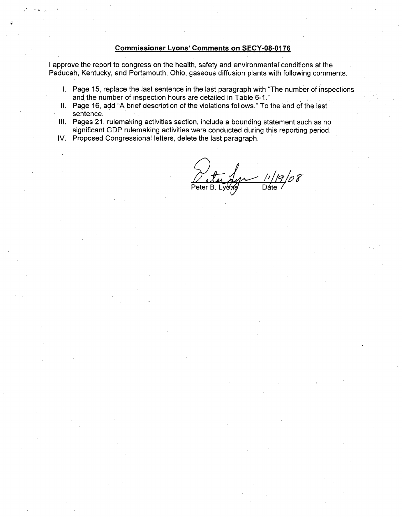#### Commissioner Lyons' Comments on **SECY-08-0176**

I approve the report to congress on the health, safety and environmental conditions at the Paducah, Kentucky, and Portsmouth, Ohio, gaseous diffusion plants with following comments.

- I. Page 15, replace the last sentence in the last paragraph with "The number of inspections and the number of inspection hours are detailed in Table **6-1."**
- II. Page 16, add "A brief description of the violations follows." To the end of the last sentence.
- **Ill.** Pages 21, rulemaking activities section, include a bounding statement such as no significant GDP rulemaking activities were conducted during this reporting period.
- IV. Proposed Congressional letters, delete the last paragraph.

 $\frac{11}{12}$ o8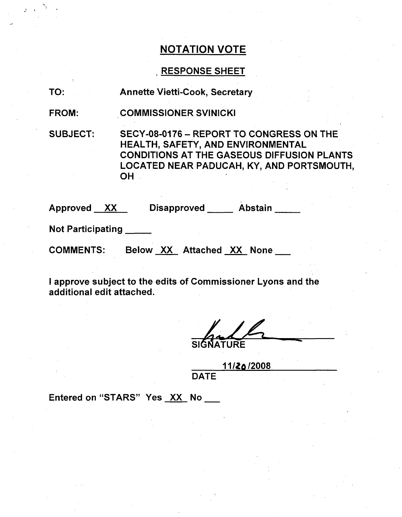### RESPONSE SHEET

TO: Annette Vietti-Cook, Secretary

FROM: COMMISSIONER SVINICKI

SUBJECT: SECY-08-0176 - REPORT TO CONGRESS ON THE HEALTH, SAFETY, AND ENVIRONMENTAL CONDITIONS AT THE GASEOUS DIFFUSION PLANTS LOCATED NEAR PADUCAH, KY, AND PORTSMOUTH, **OH** 

Approved XX Disapproved \_\_\_\_\_ Abstain

Not Participating **\_**

COMMENTS: Below XX Attached XX None

I approve subject to the edits of Commissioner Lyons and the additional edit attached.

**SIGNATURE** 

**11/2o/2008**

**DATE** 

Entered on "STARS" Yes XX No